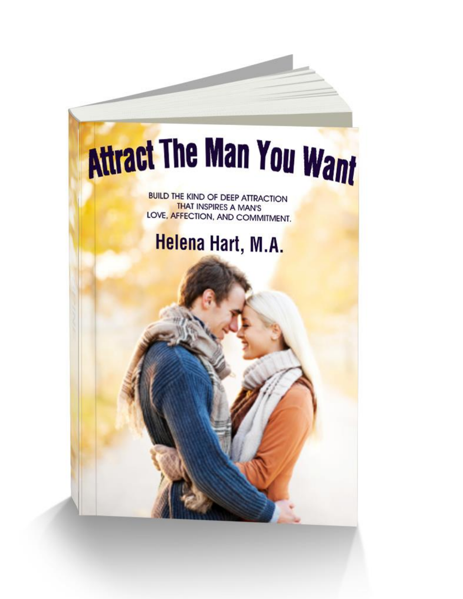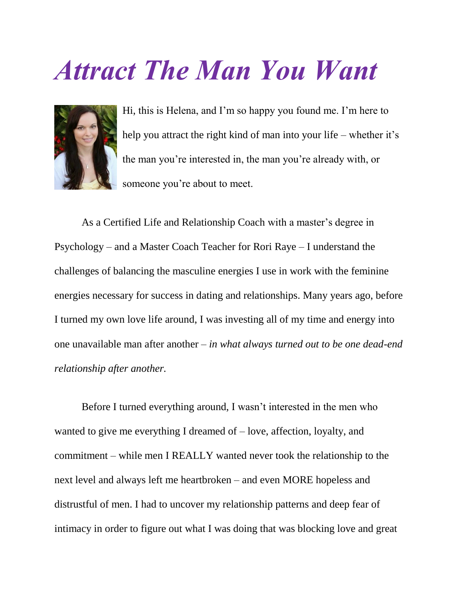## *Attract The Man You Want*



Hi, this is Helena, and I'm so happy you found me. I'm here to help you attract the right kind of man into your life – whether it's the man you're interested in, the man you're already with, or someone you're about to meet.

As a Certified Life and Relationship Coach with a master's degree in Psychology – and a Master Coach Teacher for Rori Raye – I understand the challenges of balancing the masculine energies I use in work with the feminine energies necessary for success in dating and relationships. Many years ago, before I turned my own love life around, I was investing all of my time and energy into one unavailable man after another – *in what always turned out to be one dead-end relationship after another.*

Before I turned everything around, I wasn't interested in the men who wanted to give me everything I dreamed of – love, affection, loyalty, and commitment – while men I REALLY wanted never took the relationship to the next level and always left me heartbroken – and even MORE hopeless and distrustful of men. I had to uncover my relationship patterns and deep fear of intimacy in order to figure out what I was doing that was blocking love and great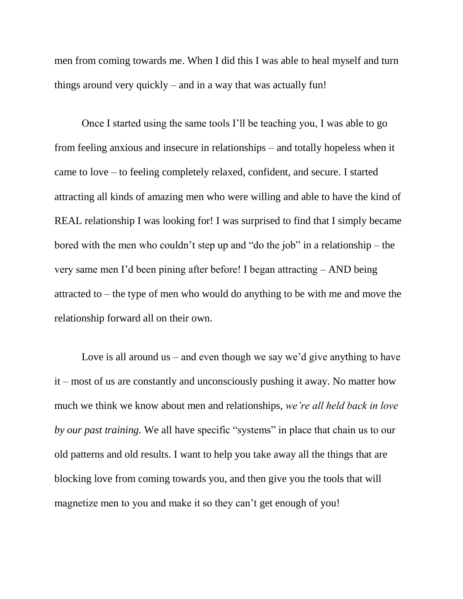men from coming towards me. When I did this I was able to heal myself and turn things around very quickly – and in a way that was actually fun!

Once I started using the same tools I'll be teaching you, I was able to go from feeling anxious and insecure in relationships – and totally hopeless when it came to love – to feeling completely relaxed, confident, and secure. I started attracting all kinds of amazing men who were willing and able to have the kind of REAL relationship I was looking for! I was surprised to find that I simply became bored with the men who couldn't step up and "do the job" in a relationship – the very same men I'd been pining after before! I began attracting – AND being attracted to – the type of men who would do anything to be with me and move the relationship forward all on their own.

Love is all around us – and even though we say we'd give anything to have it – most of us are constantly and unconsciously pushing it away. No matter how much we think we know about men and relationships, *we're all held back in love by our past training.* We all have specific "systems" in place that chain us to our old patterns and old results. I want to help you take away all the things that are blocking love from coming towards you, and then give you the tools that will magnetize men to you and make it so they can't get enough of you!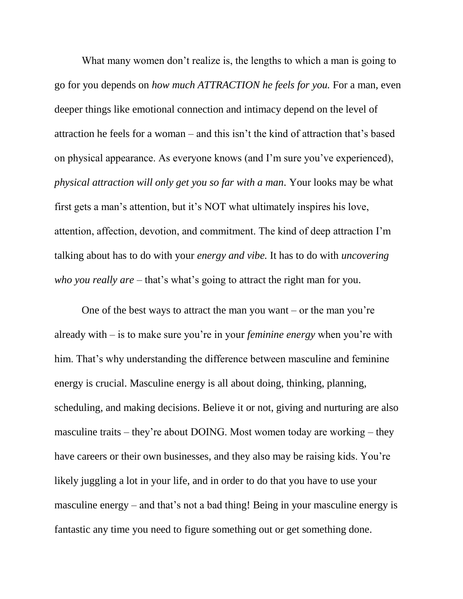What many women don't realize is, the lengths to which a man is going to go for you depends on *how much ATTRACTION he feels for you.* For a man, even deeper things like emotional connection and intimacy depend on the level of attraction he feels for a woman – and this isn't the kind of attraction that's based on physical appearance. As everyone knows (and I'm sure you've experienced), *physical attraction will only get you so far with a man.* Your looks may be what first gets a man's attention, but it's NOT what ultimately inspires his love, attention, affection, devotion, and commitment. The kind of deep attraction I'm talking about has to do with your *energy and vibe.* It has to do with *uncovering who you really are –* that's what's going to attract the right man for you.

One of the best ways to attract the man you want – or the man you're already with – is to make sure you're in your *feminine energy* when you're with him. That's why understanding the difference between masculine and feminine energy is crucial. Masculine energy is all about doing, thinking, planning, scheduling, and making decisions. Believe it or not, giving and nurturing are also masculine traits – they're about DOING. Most women today are working – they have careers or their own businesses, and they also may be raising kids. You're likely juggling a lot in your life, and in order to do that you have to use your masculine energy – and that's not a bad thing! Being in your masculine energy is fantastic any time you need to figure something out or get something done.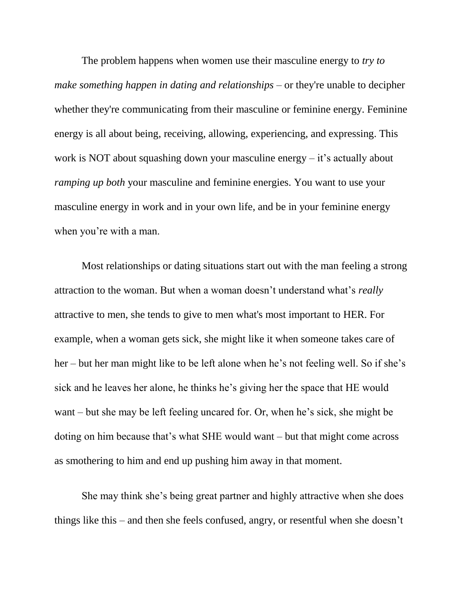The problem happens when women use their masculine energy to *try to make something happen in dating and relationships* – or they're unable to decipher whether they're communicating from their masculine or feminine energy. Feminine energy is all about being, receiving, allowing, experiencing, and expressing. This work is NOT about squashing down your masculine energy – it's actually about *ramping up both* your masculine and feminine energies*.* You want to use your masculine energy in work and in your own life, and be in your feminine energy when you're with a man.

Most relationships or dating situations start out with the man feeling a strong attraction to the woman. But when a woman doesn't understand what's *really* attractive to men, she tends to give to men what's most important to HER. For example, when a woman gets sick, she might like it when someone takes care of her – but her man might like to be left alone when he's not feeling well. So if she's sick and he leaves her alone, he thinks he's giving her the space that HE would want – but she may be left feeling uncared for. Or, when he's sick, she might be doting on him because that's what SHE would want – but that might come across as smothering to him and end up pushing him away in that moment.

She may think she's being great partner and highly attractive when she does things like this – and then she feels confused, angry, or resentful when she doesn't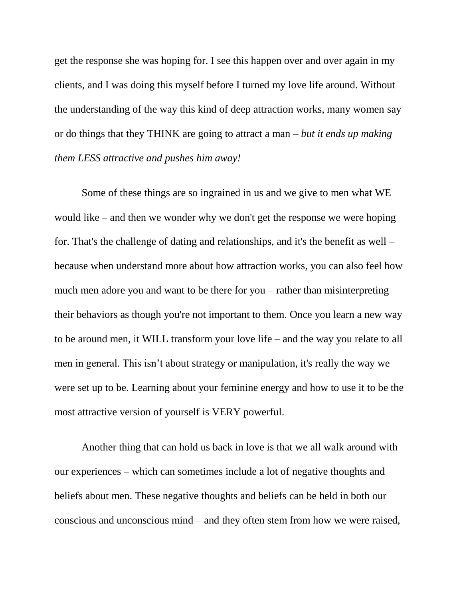get the response she was hoping for. I see this happen over and over again in my clients, and I was doing this myself before I turned my love life around. Without the understanding of the way this kind of deep attraction works, many women say or do things that they THINK are going to attract a man – *but it ends up making them LESS attractive and pushes him away!*

Some of these things are so ingrained in us and we give to men what WE would like – and then we wonder why we don't get the response we were hoping for. That's the challenge of dating and relationships, and it's the benefit as well – because when understand more about how attraction works, you can also feel how much men adore you and want to be there for you – rather than misinterpreting their behaviors as though you're not important to them. Once you learn a new way to be around men, it WILL transform your love life – and the way you relate to all men in general. This isn't about strategy or manipulation, it's really the way we were set up to be. Learning about your feminine energy and how to use it to be the most attractive version of yourself is VERY powerful.

Another thing that can hold us back in love is that we all walk around with our experiences – which can sometimes include a lot of negative thoughts and beliefs about men. These negative thoughts and beliefs can be held in both our conscious and unconscious mind – and they often stem from how we were raised,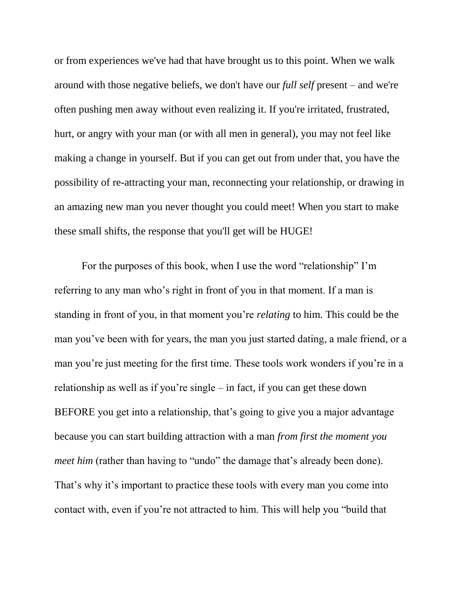or from experiences we've had that have brought us to this point. When we walk around with those negative beliefs, we don't have our *full self* present – and we're often pushing men away without even realizing it. If you're irritated, frustrated, hurt, or angry with your man (or with all men in general), you may not feel like making a change in yourself. But if you can get out from under that, you have the possibility of re-attracting your man, reconnecting your relationship, or drawing in an amazing new man you never thought you could meet! When you start to make these small shifts, the response that you'll get will be HUGE!

For the purposes of this book, when I use the word "relationship" I'm referring to any man who's right in front of you in that moment. If a man is standing in front of you, in that moment you're *relating* to him. This could be the man you've been with for years, the man you just started dating, a male friend, or a man you're just meeting for the first time. These tools work wonders if you're in a relationship as well as if you're single – in fact, if you can get these down BEFORE you get into a relationship, that's going to give you a major advantage because you can start building attraction with a man *from first the moment you meet him* (rather than having to "undo" the damage that's already been done). That's why it's important to practice these tools with every man you come into contact with, even if you're not attracted to him. This will help you "build that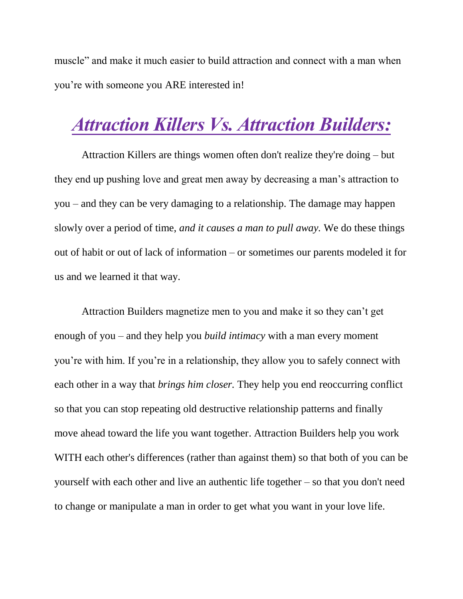muscle" and make it much easier to build attraction and connect with a man when you're with someone you ARE interested in!

## *Attraction Killers Vs. Attraction Builders:*

Attraction Killers are things women often don't realize they're doing – but they end up pushing love and great men away by decreasing a man's attraction to you – and they can be very damaging to a relationship. The damage may happen slowly over a period of time, *and it causes a man to pull away.* We do these things out of habit or out of lack of information – or sometimes our parents modeled it for us and we learned it that way.

Attraction Builders magnetize men to you and make it so they can't get enough of you – and they help you *build intimacy* with a man every moment you're with him. If you're in a relationship, they allow you to safely connect with each other in a way that *brings him closer.* They help you end reoccurring conflict so that you can stop repeating old destructive relationship patterns and finally move ahead toward the life you want together. Attraction Builders help you work WITH each other's differences (rather than against them) so that both of you can be yourself with each other and live an authentic life together – so that you don't need to change or manipulate a man in order to get what you want in your love life.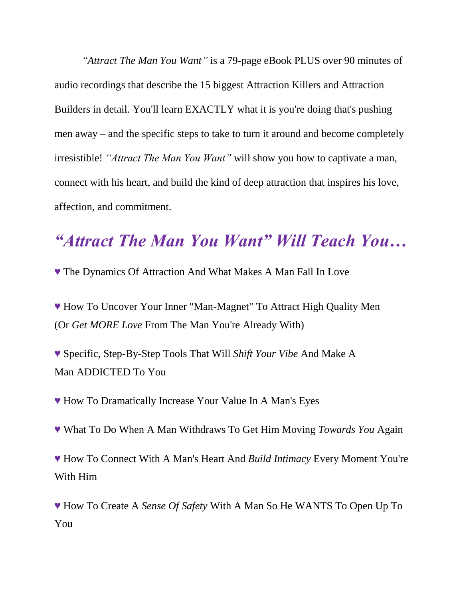*["Attract The Man You Want"](http://helenahartcoaching.com/attract-the-man-you-want-ebook/)* is a 79-page eBook PLUS over 90 minutes of audio recordings that describe the 15 biggest Attraction Killers and Attraction Builders in detail. You'll learn EXACTLY what it is you're doing that's pushing men away – and the specific steps to take to turn it around and become completely irresistible! *"Attract The Man You Want"* will show you how to captivate a man, connect with his heart, and build the kind of deep attraction that inspires his love, affection, and commitment.

## *"Attract The Man You Want" Will Teach You…*

**♥** The Dynamics Of Attraction And What Makes A Man Fall In Love

**♥** How To Uncover Your Inner "Man-Magnet" To Attract High Quality Men (Or *Get MORE Love* From The Man You're Already With)

**♥** Specific, Step-By-Step Tools That Will *Shift Your Vibe* And Make A Man ADDICTED To You

**♥** How To Dramatically Increase Your Value In A Man's Eyes

**♥** What To Do When A Man Withdraws To Get Him Moving *Towards You* Again

**♥** How To Connect With A Man's Heart And *Build Intimacy* Every Moment You're With Him

**♥** How To Create A *Sense Of Safety* With A Man So He WANTS To Open Up To You